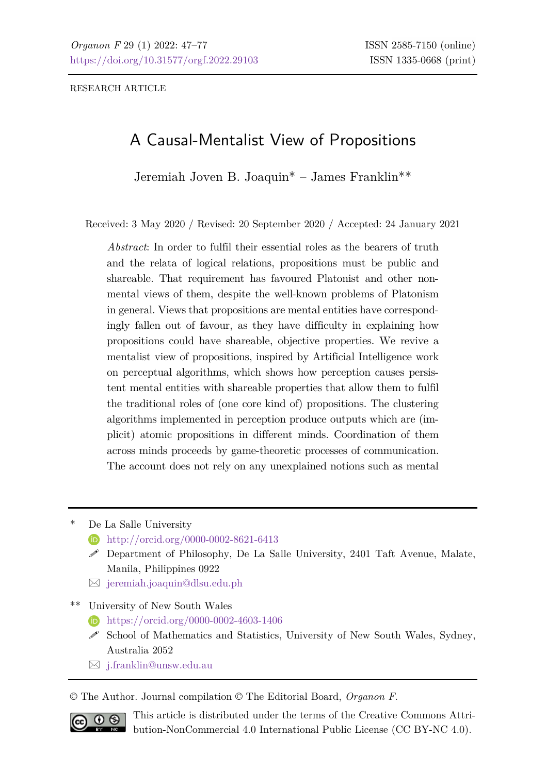RESEARCH ARTICLE

# A Causal-Mentalist View of Propositions

Jeremiah Joven B. Joaquin\* – James Franklin\*\*

Received: 3 May 2020 / Revised: 20 September 2020 / Accepted: 24 January 2021

*Abstract*: In order to fulfil their essential roles as the bearers of truth and the relata of logical relations, propositions must be public and shareable. That requirement has favoured Platonist and other nonmental views of them, despite the well-known problems of Platonism in general. Views that propositions are mental entities have correspondingly fallen out of favour, as they have difficulty in explaining how propositions could have shareable, objective properties. We revive a mentalist view of propositions, inspired by Artificial Intelligence work on perceptual algorithms, which shows how perception causes persistent mental entities with shareable properties that allow them to fulfil the traditional roles of (one core kind of) propositions. The clustering algorithms implemented in perception produce outputs which are (implicit) atomic propositions in different minds. Coordination of them across minds proceeds by game-theoretic processes of communication. The account does not rely on any unexplained notions such as mental

- De La Salle University
	- **<http://orcid.org/0000-0002-8621-6413>**
	- Department of Philosophy, De La Salle University, 2401 Taft Avenue, Malate, Manila, Philippines 0922
	- $\boxtimes$  [jeremiah.joaquin@dlsu.edu.ph](mailto:jeremiah.joaquin@dlsu.edu.ph)

\*\* University of New South Wales

- <https://orcid.org/0000-0002-4603-1406>
- $\mathscr S$  School of Mathematics and Statistics, University of New South Wales, Sydney, Australia 2052
- [j.franklin@unsw.edu.au](mailto:j.franklin@unsw.edu.au)

© The Author. Journal compilation © The Editorial Board, *Organon F*.



This article is distributed under the terms of the Creative Commons Attribution-NonCommercial 4.0 International Public License (CC BY-NC 4.0).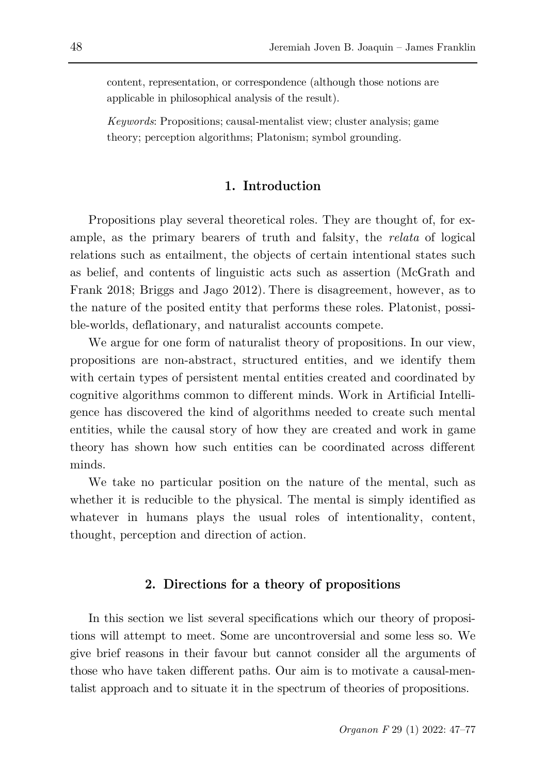content, representation, or correspondence (although those notions are applicable in philosophical analysis of the result).

*Keywords*: Propositions; causal-mentalist view; cluster analysis; game theory; perception algorithms; Platonism; symbol grounding.

### **1. Introduction**

Propositions play several theoretical roles. They are thought of, for example, as the primary bearers of truth and falsity, the *relata* of logical relations such as entailment, the objects of certain intentional states such as belief, and contents of linguistic acts such as assertion (McGrath and Frank 2018; Briggs and Jago 2012). There is disagreement, however, as to the nature of the posited entity that performs these roles. Platonist, possible-worlds, deflationary, and naturalist accounts compete.

We argue for one form of naturalist theory of propositions. In our view, propositions are non-abstract, structured entities, and we identify them with certain types of persistent mental entities created and coordinated by cognitive algorithms common to different minds. Work in Artificial Intelligence has discovered the kind of algorithms needed to create such mental entities, while the causal story of how they are created and work in game theory has shown how such entities can be coordinated across different minds.

We take no particular position on the nature of the mental, such as whether it is reducible to the physical. The mental is simply identified as whatever in humans plays the usual roles of intentionality, content, thought, perception and direction of action.

### **2. Directions for a theory of propositions**

In this section we list several specifications which our theory of propositions will attempt to meet. Some are uncontroversial and some less so. We give brief reasons in their favour but cannot consider all the arguments of those who have taken different paths. Our aim is to motivate a causal-mentalist approach and to situate it in the spectrum of theories of propositions.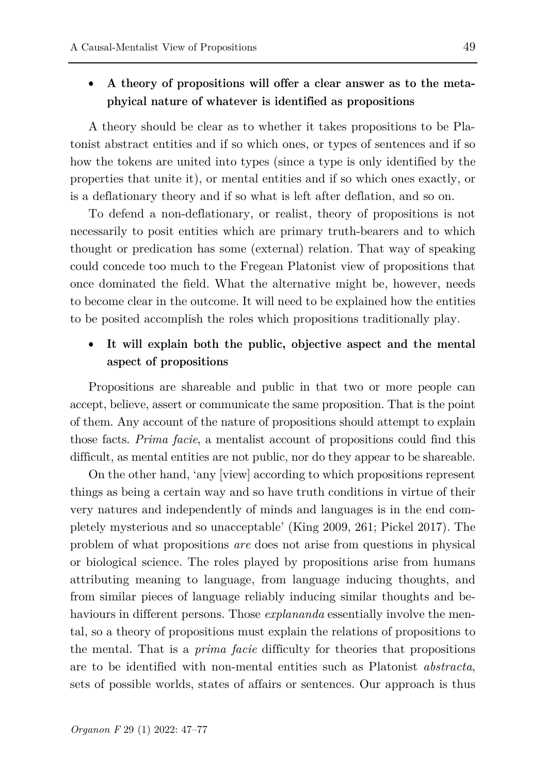### • **A theory of propositions will offer a clear answer as to the metaphyical nature of whatever is identified as propositions**

A theory should be clear as to whether it takes propositions to be Platonist abstract entities and if so which ones, or types of sentences and if so how the tokens are united into types (since a type is only identified by the properties that unite it), or mental entities and if so which ones exactly, or is a deflationary theory and if so what is left after deflation, and so on.

To defend a non-deflationary, or realist, theory of propositions is not necessarily to posit entities which are primary truth-bearers and to which thought or predication has some (external) relation. That way of speaking could concede too much to the Fregean Platonist view of propositions that once dominated the field. What the alternative might be, however, needs to become clear in the outcome. It will need to be explained how the entities to be posited accomplish the roles which propositions traditionally play.

## • **It will explain both the public, objective aspect and the mental aspect of propositions**

Propositions are shareable and public in that two or more people can accept, believe, assert or communicate the same proposition. That is the point of them. Any account of the nature of propositions should attempt to explain those facts. *Prima facie*, a mentalist account of propositions could find this difficult, as mental entities are not public, nor do they appear to be shareable.

On the other hand, 'any [view] according to which propositions represent things as being a certain way and so have truth conditions in virtue of their very natures and independently of minds and languages is in the end completely mysterious and so unacceptable' (King 2009, 261; Pickel 2017). The problem of what propositions *are* does not arise from questions in physical or biological science. The roles played by propositions arise from humans attributing meaning to language, from language inducing thoughts, and from similar pieces of language reliably inducing similar thoughts and behaviours in different persons. Those *explananda* essentially involve the mental, so a theory of propositions must explain the relations of propositions to the mental. That is a *prima facie* difficulty for theories that propositions are to be identified with non-mental entities such as Platonist *abstracta*, sets of possible worlds, states of affairs or sentences. Our approach is thus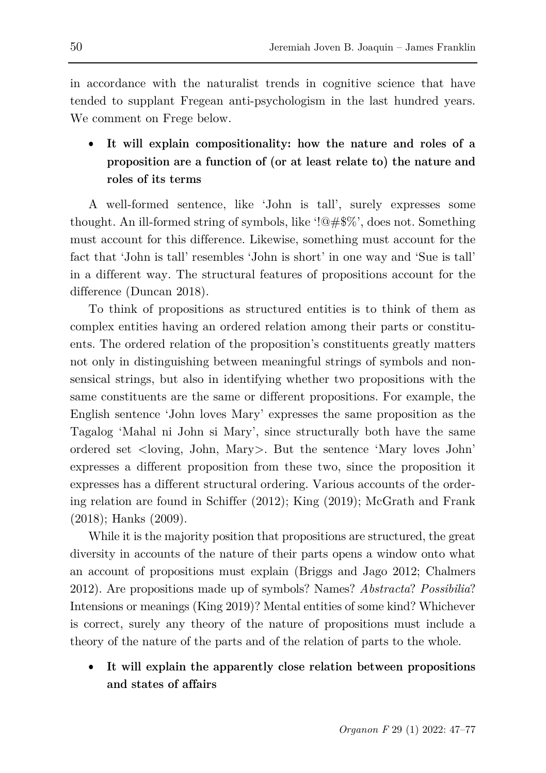in accordance with the naturalist trends in cognitive science that have tended to supplant Fregean anti-psychologism in the last hundred years. We comment on Frege below.

• **It will explain compositionality: how the nature and roles of a proposition are a function of (or at least relate to) the nature and roles of its terms**

A well-formed sentence, like 'John is tall', surely expresses some thought. An ill-formed string of symbols, like '!@#\$%', does not. Something must account for this difference. Likewise, something must account for the fact that 'John is tall' resembles 'John is short' in one way and 'Sue is tall' in a different way. The structural features of propositions account for the difference (Duncan 2018).

To think of propositions as structured entities is to think of them as complex entities having an ordered relation among their parts or constituents. The ordered relation of the proposition's constituents greatly matters not only in distinguishing between meaningful strings of symbols and nonsensical strings, but also in identifying whether two propositions with the same constituents are the same or different propositions. For example, the English sentence 'John loves Mary' expresses the same proposition as the Tagalog 'Mahal ni John si Mary', since structurally both have the same ordered set <loving, John, Mary>. But the sentence 'Mary loves John' expresses a different proposition from these two, since the proposition it expresses has a different structural ordering. Various accounts of the ordering relation are found in Schiffer (2012); King (2019); McGrath and Frank (2018); Hanks (2009).

While it is the majority position that propositions are structured, the great diversity in accounts of the nature of their parts opens a window onto what an account of propositions must explain (Briggs and Jago 2012; Chalmers 2012). Are propositions made up of symbols? Names? *Abstracta*? *Possibilia*? Intensions or meanings (King 2019)? Mental entities of some kind? Whichever is correct, surely any theory of the nature of propositions must include a theory of the nature of the parts and of the relation of parts to the whole.

• **It will explain the apparently close relation between propositions and states of affairs**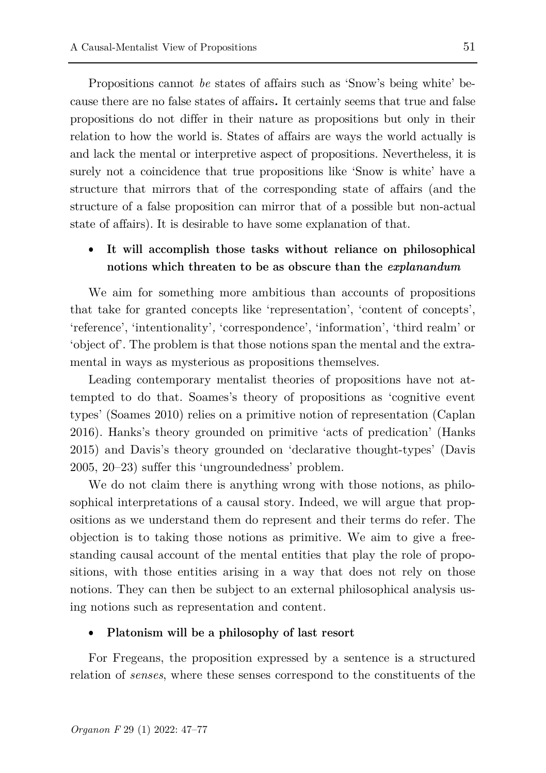Propositions cannot *be* states of affairs such as 'Snow's being white' because there are no false states of affairs*.* It certainly seems that true and false propositions do not differ in their nature as propositions but only in their relation to how the world is. States of affairs are ways the world actually is and lack the mental or interpretive aspect of propositions. Nevertheless, it is surely not a coincidence that true propositions like 'Snow is white' have a structure that mirrors that of the corresponding state of affairs (and the structure of a false proposition can mirror that of a possible but non-actual state of affairs). It is desirable to have some explanation of that.

## • **It will accomplish those tasks without reliance on philosophical notions which threaten to be as obscure than the** *explanandum*

We aim for something more ambitious than accounts of propositions that take for granted concepts like 'representation', 'content of concepts', 'reference', 'intentionality'*,* 'correspondence', 'information', 'third realm' or 'object of'. The problem is that those notions span the mental and the extramental in ways as mysterious as propositions themselves.

Leading contemporary mentalist theories of propositions have not attempted to do that. Soames's theory of propositions as 'cognitive event types' (Soames 2010) relies on a primitive notion of representation (Caplan 2016). Hanks's theory grounded on primitive 'acts of predication' (Hanks 2015) and Davis's theory grounded on 'declarative thought-types' (Davis 2005, 20–23) suffer this 'ungroundedness' problem.

We do not claim there is anything wrong with those notions, as philosophical interpretations of a causal story. Indeed, we will argue that propositions as we understand them do represent and their terms do refer. The objection is to taking those notions as primitive. We aim to give a freestanding causal account of the mental entities that play the role of propositions, with those entities arising in a way that does not rely on those notions. They can then be subject to an external philosophical analysis using notions such as representation and content.

#### • **Platonism will be a philosophy of last resort**

For Fregeans, the proposition expressed by a sentence is a structured relation of *senses*, where these senses correspond to the constituents of the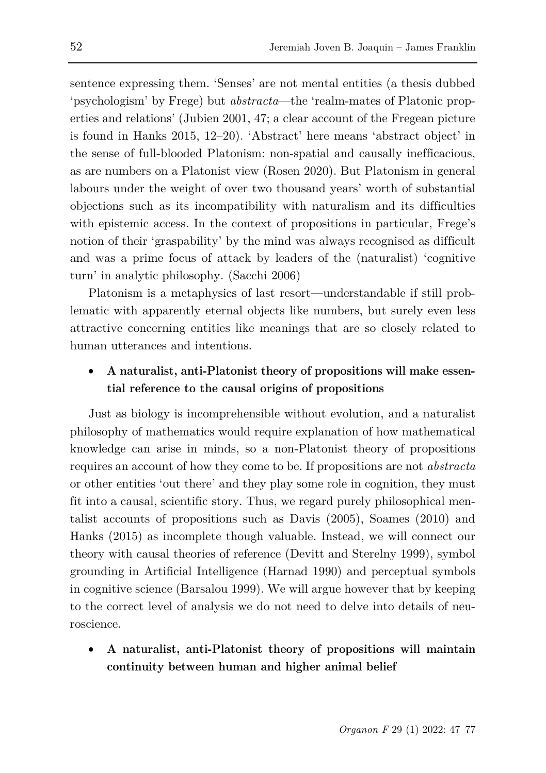sentence expressing them. 'Senses' are not mental entities (a thesis dubbed 'psychologism' by Frege) but *abstracta*—the 'realm-mates of Platonic properties and relations' (Jubien 2001, 47; a clear account of the Fregean picture is found in Hanks 2015, 12–20). 'Abstract' here means 'abstract object' in the sense of full-blooded Platonism: non-spatial and causally inefficacious, as are numbers on a Platonist view [\(Rosen 2020\).](https://www.zotero.org/google-docs/?DmW3vt) But Platonism in general labours under the weight of over two thousand years' worth of substantial objections such as its incompatibility with naturalism and its difficulties with epistemic access. In the context of propositions in particular, Frege's notion of their 'graspability' by the mind was always recognised as difficult and was a prime focus of attack by leaders of the (naturalist) 'cognitive turn' in analytic philosophy. (Sacchi 2006)

Platonism is a metaphysics of last resort—understandable if still problematic with apparently eternal objects like numbers, but surely even less attractive concerning entities like meanings that are so closely related to human utterances and intentions.

## • **A naturalist, anti-Platonist theory of propositions will make essential reference to the causal origins of propositions**

Just as biology is incomprehensible without evolution, and a naturalist philosophy of mathematics would require explanation of how mathematical knowledge can arise in minds, so a non-Platonist theory of propositions requires an account of how they come to be. If propositions are not *abstracta* or other entities 'out there' and they play some role in cognition, they must fit into a causal, scientific story. Thus, we regard purely philosophical mentalist accounts of propositions such as Davis (2005), Soames (2010) and Hanks (2015) as incomplete though valuable. Instead, we will connect our theory with causal theories of reference (Devitt and Sterelny 1999), symbol grounding in Artificial Intelligence (Harnad 1990) and perceptual symbols in cognitive science (Barsalou 1999). We will argue however that by keeping to the correct level of analysis we do not need to delve into details of neuroscience.

• **A naturalist, anti-Platonist theory of propositions will maintain continuity between human and higher animal belief**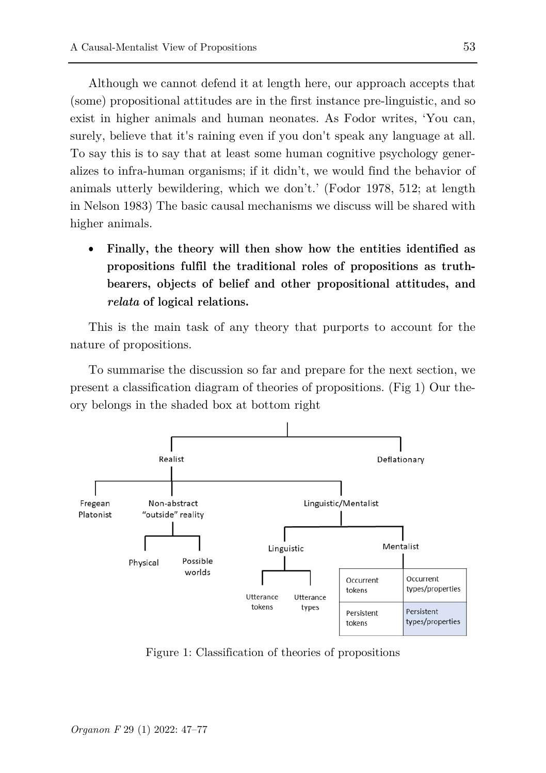Although we cannot defend it at length here, our approach accepts that (some) propositional attitudes are in the first instance pre-linguistic, and so exist in higher animals and human neonates. As Fodor writes, 'You can, surely, believe that it's raining even if you don't speak any language at all. To say this is to say that at least some human cognitive psychology generalizes to infra-human organisms; if it didn't, we would find the behavior of animals utterly bewildering, which we don't.' (Fodor 1978, 512; at length in Nelson 1983) The basic causal mechanisms we discuss will be shared with higher animals.

• **Finally, the theory will then show how the entities identified as propositions fulfil the traditional roles of propositions as truthbearers, objects of belief and other propositional attitudes, and**  *relata* **of logical relations.**

This is the main task of any theory that purports to account for the nature of propositions.

To summarise the discussion so far and prepare for the next section, we present a classification diagram of theories of propositions. (Fig 1) Our theory belongs in the shaded box at bottom right



Figure 1: Classification of theories of propositions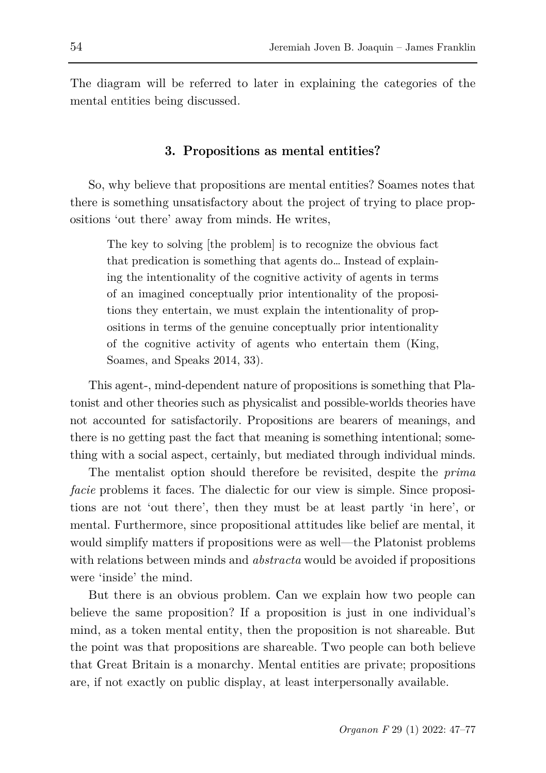The diagram will be referred to later in explaining the categories of the mental entities being discussed.

### **3. Propositions as mental entities?**

So, why believe that propositions are mental entities? Soames notes that there is something unsatisfactory about the project of trying to place propositions 'out there' away from minds. He writes,

The key to solving [the problem] is to recognize the obvious fact that predication is something that agents do… Instead of explaining the intentionality of the cognitive activity of agents in terms of an imagined conceptually prior intentionality of the propositions they entertain, we must explain the intentionality of propositions in terms of the genuine conceptually prior intentionality of the cognitive activity of agents who entertain them (King, Soames, and Speaks 2014, 33).

This agent-, mind-dependent nature of propositions is something that Platonist and other theories such as physicalist and possible-worlds theories have not accounted for satisfactorily. Propositions are bearers of meanings, and there is no getting past the fact that meaning is something intentional; something with a social aspect, certainly, but mediated through individual minds.

The mentalist option should therefore be revisited, despite the *prima facie* problems it faces. The dialectic for our view is simple. Since propositions are not 'out there', then they must be at least partly 'in here', or mental. Furthermore, since propositional attitudes like belief are mental, it would simplify matters if propositions were as well—the Platonist problems with relations between minds and *abstracta* would be avoided if propositions were 'inside' the mind.

But there is an obvious problem. Can we explain how two people can believe the same proposition? If a proposition is just in one individual's mind, as a token mental entity, then the proposition is not shareable. But the point was that propositions are shareable. Two people can both believe that Great Britain is a monarchy. Mental entities are private; propositions are, if not exactly on public display, at least interpersonally available.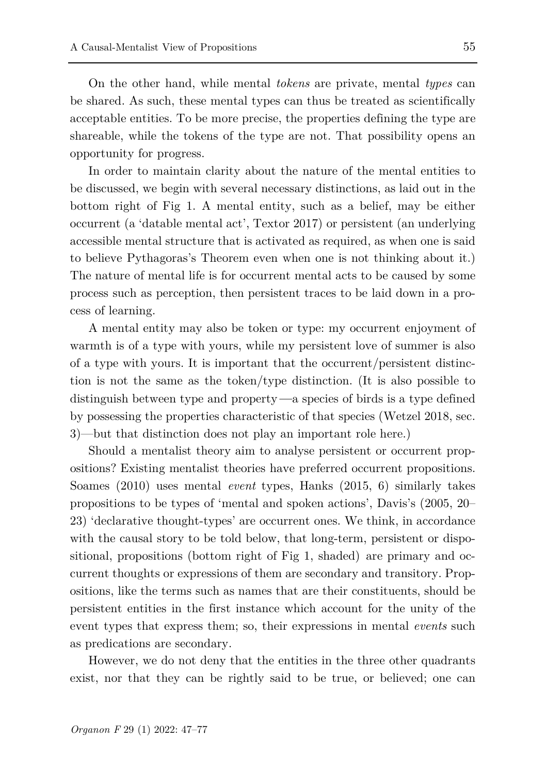On the other hand, while mental *tokens* are private, mental *types* can be shared. As such, these mental types can thus be treated as scientifically acceptable entities. To be more precise, the properties defining the type are shareable, while the tokens of the type are not. That possibility opens an opportunity for progress.

In order to maintain clarity about the nature of the mental entities to be discussed, we begin with several necessary distinctions, as laid out in the bottom right of Fig 1. A mental entity, such as a belief, may be either occurrent (a 'datable mental act', Textor 2017) or persistent (an underlying accessible mental structure that is activated as required, as when one is said to believe Pythagoras's Theorem even when one is not thinking about it.) The nature of mental life is for occurrent mental acts to be caused by some process such as perception, then persistent traces to be laid down in a process of learning.

A mental entity may also be token or type: my occurrent enjoyment of warmth is of a type with yours, while my persistent love of summer is also of a type with yours. It is important that the occurrent/persistent distinction is not the same as the token/type distinction. (It is also possible to distinguish between type and property*—*a species of birds is a type defined by possessing the properties characteristic of that species (Wetzel 2018, sec. 3)—but that distinction does not play an important role here.)

Should a mentalist theory aim to analyse persistent or occurrent propositions? Existing mentalist theories have preferred occurrent propositions. Soames (2010) uses mental *event* types, Hanks (2015, 6) similarly takes propositions to be types of 'mental and spoken actions', Davis's (2005, 20– 23) 'declarative thought-types' are occurrent ones. We think, in accordance with the causal story to be told below, that long-term, persistent or dispositional, propositions (bottom right of Fig 1, shaded) are primary and occurrent thoughts or expressions of them are secondary and transitory. Propositions, like the terms such as names that are their constituents, should be persistent entities in the first instance which account for the unity of the event types that express them; so, their expressions in mental *events* such as predications are secondary.

However, we do not deny that the entities in the three other quadrants exist, nor that they can be rightly said to be true, or believed; one can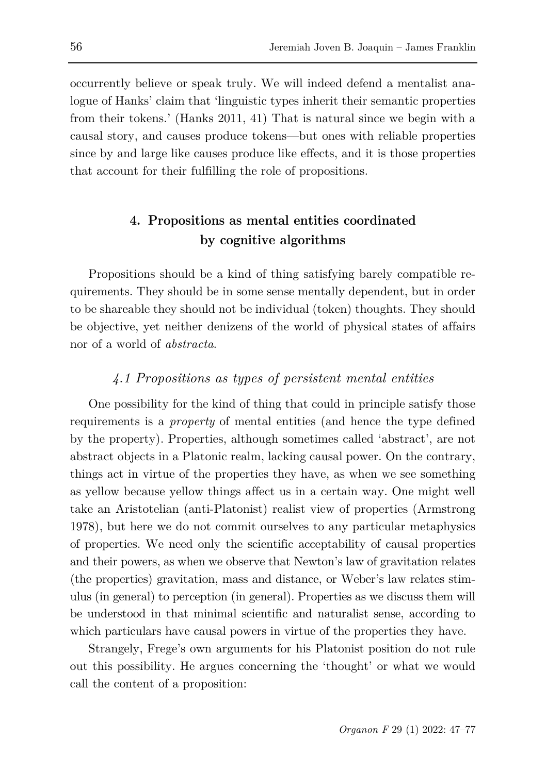occurrently believe or speak truly. We will indeed defend a mentalist analogue of Hanks' claim that 'linguistic types inherit their semantic properties from their tokens.' (Hanks 2011, 41) That is natural since we begin with a causal story, and causes produce tokens—but ones with reliable properties since by and large like causes produce like effects, and it is those properties that account for their fulfilling the role of propositions.

## **4. Propositions as mental entities coordinated by cognitive algorithms**

Propositions should be a kind of thing satisfying barely compatible requirements. They should be in some sense mentally dependent, but in order to be shareable they should not be individual (token) thoughts. They should be objective, yet neither denizens of the world of physical states of affairs nor of a world of *abstracta*.

### *4.1 Propositions as types of persistent mental entities*

One possibility for the kind of thing that could in principle satisfy those requirements is a *property* of mental entities (and hence the type defined by the property). Properties, although sometimes called 'abstract', are not abstract objects in a Platonic realm, lacking causal power. On the contrary, things act in virtue of the properties they have, as when we see something as yellow because yellow things affect us in a certain way. One might well take an Aristotelian (anti-Platonist) realist view of properties (Armstrong 1978), but here we do not commit ourselves to any particular metaphysics of properties. We need only the scientific acceptability of causal properties and their powers, as when we observe that Newton's law of gravitation relates (the properties) gravitation, mass and distance, or Weber's law relates stimulus (in general) to perception (in general). Properties as we discuss them will be understood in that minimal scientific and naturalist sense, according to which particulars have causal powers in virtue of the properties they have.

Strangely, Frege's own arguments for his Platonist position do not rule out this possibility. He argues concerning the 'thought' or what we would call the content of a proposition: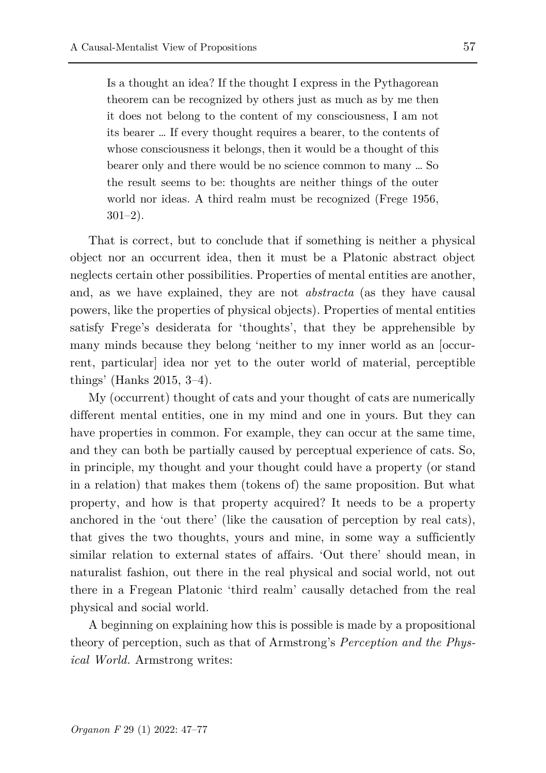Is a thought an idea? If the thought I express in the Pythagorean theorem can be recognized by others just as much as by me then it does not belong to the content of my consciousness, I am not its bearer … If every thought requires a bearer, to the contents of whose consciousness it belongs, then it would be a thought of this bearer only and there would be no science common to many … So the result seems to be: thoughts are neither things of the outer world nor ideas. A third realm must be recognized (Frege 1956, 301–2).

That is correct, but to conclude that if something is neither a physical object nor an occurrent idea, then it must be a Platonic abstract object neglects certain other possibilities. Properties of mental entities are another, and, as we have explained, they are not *abstracta* (as they have causal powers, like the properties of physical objects). Properties of mental entities satisfy Frege's desiderata for 'thoughts', that they be apprehensible by many minds because they belong 'neither to my inner world as an [occurrent, particular] idea nor yet to the outer world of material, perceptible things' (Hanks 2015, 3–4).

My (occurrent) thought of cats and your thought of cats are numerically different mental entities, one in my mind and one in yours. But they can have properties in common. For example, they can occur at the same time, and they can both be partially caused by perceptual experience of cats. So, in principle, my thought and your thought could have a property (or stand in a relation) that makes them (tokens of) the same proposition. But what property, and how is that property acquired? It needs to be a property anchored in the 'out there' (like the causation of perception by real cats), that gives the two thoughts, yours and mine, in some way a sufficiently similar relation to external states of affairs. 'Out there' should mean, in naturalist fashion, out there in the real physical and social world, not out there in a Fregean Platonic 'third realm' causally detached from the real physical and social world.

A beginning on explaining how this is possible is made by a propositional theory of perception, such as that of Armstrong's *Perception and the Physical World.* Armstrong writes: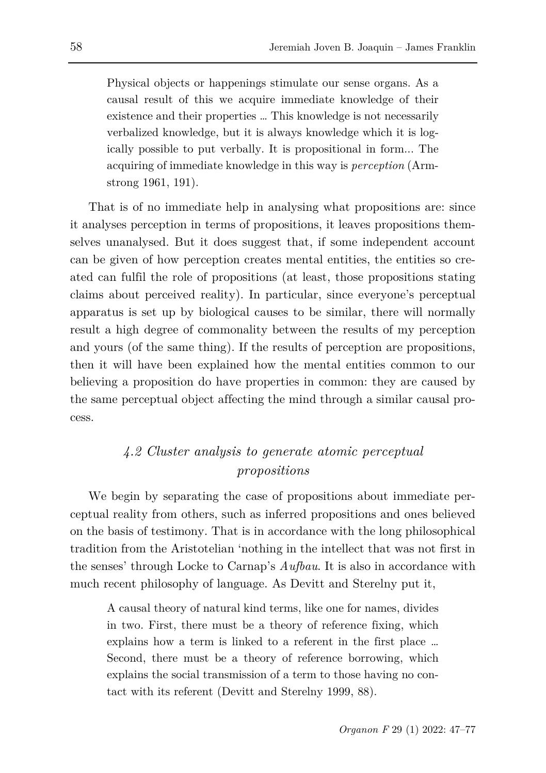Physical objects or happenings stimulate our sense organs. As a causal result of this we acquire immediate knowledge of their existence and their properties … This knowledge is not necessarily verbalized knowledge, but it is always knowledge which it is logically possible to put verbally. It is propositional in form... The acquiring of immediate knowledge in this way is *perception* (Armstrong 1961, 191).

That is of no immediate help in analysing what propositions are: since it analyses perception in terms of propositions, it leaves propositions themselves unanalysed. But it does suggest that, if some independent account can be given of how perception creates mental entities, the entities so created can fulfil the role of propositions (at least, those propositions stating claims about perceived reality). In particular, since everyone's perceptual apparatus is set up by biological causes to be similar, there will normally result a high degree of commonality between the results of my perception and yours (of the same thing). If the results of perception are propositions, then it will have been explained how the mental entities common to our believing a proposition do have properties in common: they are caused by the same perceptual object affecting the mind through a similar causal process.

## *4.2 Cluster analysis to generate atomic perceptual propositions*

We begin by separating the case of propositions about immediate perceptual reality from others, such as inferred propositions and ones believed on the basis of testimony. That is in accordance with the long philosophical tradition from the Aristotelian 'nothing in the intellect that was not first in the senses' through Locke to Carnap's *Aufbau*. It is also in accordance with much recent philosophy of language. As Devitt and Sterelny put it,

A causal theory of natural kind terms, like one for names, divides in two. First, there must be a theory of reference fixing, which explains how a term is linked to a referent in the first place … Second, there must be a theory of reference borrowing, which explains the social transmission of a term to those having no contact with its referent (Devitt and Sterelny 1999, 88).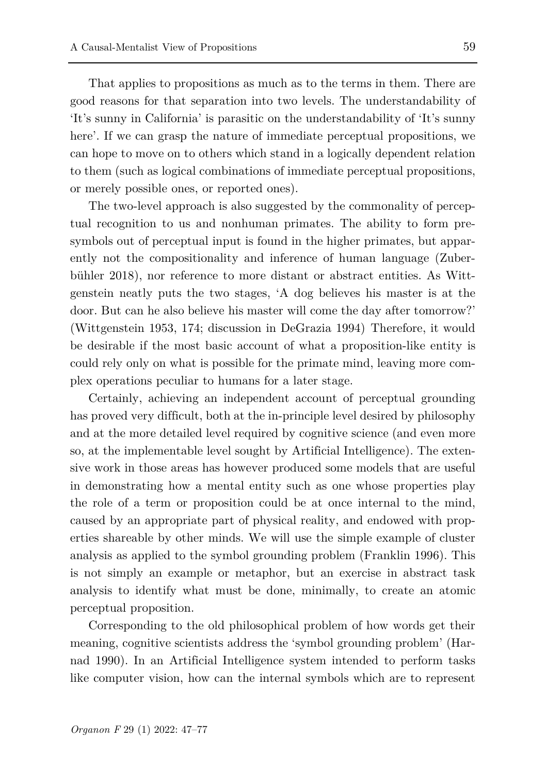That applies to propositions as much as to the terms in them. There are good reasons for that separation into two levels. The understandability of 'It's sunny in California' is parasitic on the understandability of 'It's sunny here'. If we can grasp the nature of immediate perceptual propositions, we can hope to move on to others which stand in a logically dependent relation to them (such as logical combinations of immediate perceptual propositions, or merely possible ones, or reported ones).

The two-level approach is also suggested by the commonality of perceptual recognition to us and nonhuman primates. The ability to form presymbols out of perceptual input is found in the higher primates, but apparently not the compositionality and inference of human language (Zuberbühler 2018), nor reference to more distant or abstract entities. As Wittgenstein neatly puts the two stages, 'A dog believes his master is at the door. But can he also believe his master will come the day after tomorrow?' (Wittgenstein 1953, 174; discussion in DeGrazia 1994) Therefore, it would be desirable if the most basic account of what a proposition-like entity is could rely only on what is possible for the primate mind, leaving more complex operations peculiar to humans for a later stage.

Certainly, achieving an independent account of perceptual grounding has proved very difficult, both at the in-principle level desired by philosophy and at the more detailed level required by cognitive science (and even more so, at the implementable level sought by Artificial Intelligence). The extensive work in those areas has however produced some models that are useful in demonstrating how a mental entity such as one whose properties play the role of a term or proposition could be at once internal to the mind, caused by an appropriate part of physical reality, and endowed with properties shareable by other minds. We will use the simple example of cluster analysis as applied to the symbol grounding problem (Franklin 1996). This is not simply an example or metaphor, but an exercise in abstract task analysis to identify what must be done, minimally, to create an atomic perceptual proposition.

Corresponding to the old philosophical problem of how words get their meaning, cognitive scientists address the 'symbol grounding problem' (Harnad 1990). In an Artificial Intelligence system intended to perform tasks like computer vision, how can the internal symbols which are to represent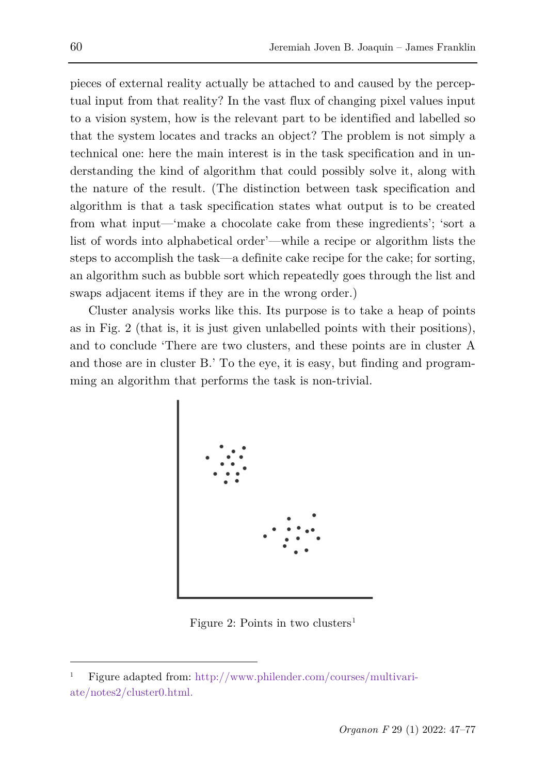pieces of external reality actually be attached to and caused by the perceptual input from that reality? In the vast flux of changing pixel values input to a vision system, how is the relevant part to be identified and labelled so that the system locates and tracks an object? The problem is not simply a technical one: here the main interest is in the task specification and in understanding the kind of algorithm that could possibly solve it, along with the nature of the result. (The distinction between task specification and algorithm is that a task specification states what output is to be created from what input—'make a chocolate cake from these ingredients'; 'sort a list of words into alphabetical order'—while a recipe or algorithm lists the steps to accomplish the task—a definite cake recipe for the cake; for sorting, an algorithm such as bubble sort which repeatedly goes through the list and swaps adjacent items if they are in the wrong order.)

Cluster analysis works like this. Its purpose is to take a heap of points as in Fig. 2 (that is, it is just given unlabelled points with their positions), and to conclude 'There are two clusters, and these points are in cluster A and those are in cluster B.' To the eye, it is easy, but finding and programming an algorithm that performs the task is non-trivial.



Figure 2: Points in two clusters<sup>[1](#page-13-0)</sup>

<span id="page-13-0"></span><sup>1</sup> Figure adapted from: [http://www.philender.com/courses/multivari](http://www.philender.com/courses/multivariate/notes2/cluster0.html)[ate/notes2/cluster0.html.](http://www.philender.com/courses/multivariate/notes2/cluster0.html)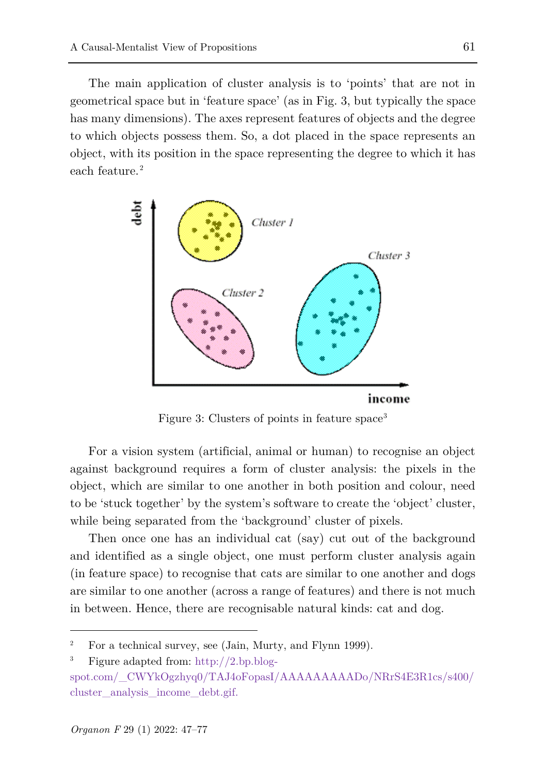The main application of cluster analysis is to 'points' that are not in geometrical space but in 'feature space' (as in Fig. 3, but typically the space has many dimensions). The axes represent features of objects and the degree to which objects possess them. So, a dot placed in the space represents an object, with its position in the space representing the degree to which it has each feature. [2](#page-14-0)



Figure [3](#page-14-1): Clusters of points in feature space<sup>3</sup>

For a vision system (artificial, animal or human) to recognise an object against background requires a form of cluster analysis: the pixels in the object, which are similar to one another in both position and colour, need to be 'stuck together' by the system's software to create the 'object' cluster, while being separated from the 'background' cluster of pixels.

Then once one has an individual cat (say) cut out of the background and identified as a single object, one must perform cluster analysis again (in feature space) to recognise that cats are similar to one another and dogs are similar to one another (across a range of features) and there is not much in between. Hence, there are recognisable natural kinds: cat and dog.

<span id="page-14-1"></span><span id="page-14-0"></span><sup>&</sup>lt;sup>2</sup> For a technical survey, see (Jain, Murty, and Flynn 1999).

<sup>3</sup> Figure adapted from: [http://2.bp.blog-](http://2.bp.blogspot.com/_CWYkOgzhyq0/TAJ4oFopasI/AAAAAAAAADo/NRrS4E3R1cs/s400/cluster_analysis_income_debt.gif)

[spot.com/\\_CWYkOgzhyq0/TAJ4oFopasI/AAAAAAAAADo/NRrS4E3R1cs/s400/](http://2.bp.blogspot.com/_CWYkOgzhyq0/TAJ4oFopasI/AAAAAAAAADo/NRrS4E3R1cs/s400/cluster_analysis_income_debt.gif) cluster analysis income debt.gif.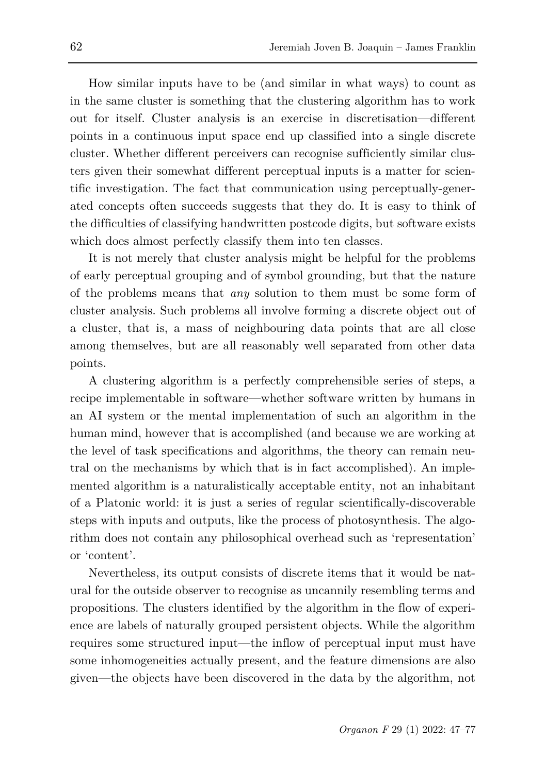How similar inputs have to be (and similar in what ways) to count as in the same cluster is something that the clustering algorithm has to work out for itself. Cluster analysis is an exercise in discretisation—different points in a continuous input space end up classified into a single discrete cluster. Whether different perceivers can recognise sufficiently similar clusters given their somewhat different perceptual inputs is a matter for scientific investigation. The fact that communication using perceptually-generated concepts often succeeds suggests that they do. It is easy to think of the difficulties of classifying handwritten postcode digits, but software exists which does almost perfectly classify them into ten classes.

It is not merely that cluster analysis might be helpful for the problems of early perceptual grouping and of symbol grounding, but that the nature of the problems means that *any* solution to them must be some form of cluster analysis. Such problems all involve forming a discrete object out of a cluster, that is, a mass of neighbouring data points that are all close among themselves, but are all reasonably well separated from other data points.

A clustering algorithm is a perfectly comprehensible series of steps, a recipe implementable in software—whether software written by humans in an AI system or the mental implementation of such an algorithm in the human mind, however that is accomplished (and because we are working at the level of task specifications and algorithms, the theory can remain neutral on the mechanisms by which that is in fact accomplished). An implemented algorithm is a naturalistically acceptable entity, not an inhabitant of a Platonic world: it is just a series of regular scientifically-discoverable steps with inputs and outputs, like the process of photosynthesis. The algorithm does not contain any philosophical overhead such as 'representation' or 'content'.

Nevertheless, its output consists of discrete items that it would be natural for the outside observer to recognise as uncannily resembling terms and propositions. The clusters identified by the algorithm in the flow of experience are labels of naturally grouped persistent objects. While the algorithm requires some structured input—the inflow of perceptual input must have some inhomogeneities actually present, and the feature dimensions are also given—the objects have been discovered in the data by the algorithm, not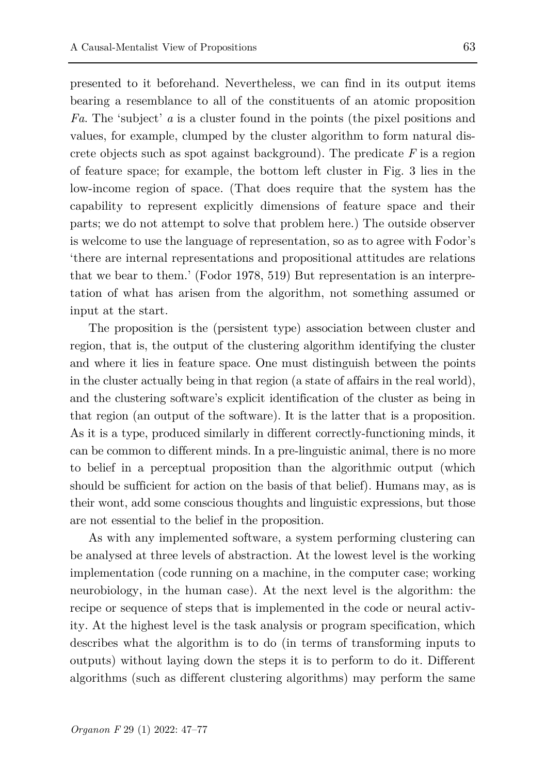presented to it beforehand. Nevertheless, we can find in its output items bearing a resemblance to all of the constituents of an atomic proposition *Fa*. The 'subject' *a* is a cluster found in the points (the pixel positions and values, for example, clumped by the cluster algorithm to form natural discrete objects such as spot against background). The predicate *F* is a region of feature space; for example, the bottom left cluster in Fig. 3 lies in the low-income region of space. (That does require that the system has the capability to represent explicitly dimensions of feature space and their parts; we do not attempt to solve that problem here.) The outside observer is welcome to use the language of representation, so as to agree with Fodor's 'there are internal representations and propositional attitudes are relations that we bear to them.' (Fodor 1978, 519) But representation is an interpretation of what has arisen from the algorithm, not something assumed or input at the start.

The proposition is the (persistent type) association between cluster and region, that is, the output of the clustering algorithm identifying the cluster and where it lies in feature space. One must distinguish between the points in the cluster actually being in that region (a state of affairs in the real world), and the clustering software's explicit identification of the cluster as being in that region (an output of the software). It is the latter that is a proposition. As it is a type, produced similarly in different correctly-functioning minds, it can be common to different minds. In a pre-linguistic animal, there is no more to belief in a perceptual proposition than the algorithmic output (which should be sufficient for action on the basis of that belief). Humans may, as is their wont, add some conscious thoughts and linguistic expressions, but those are not essential to the belief in the proposition.

As with any implemented software, a system performing clustering can be analysed at three levels of abstraction. At the lowest level is the working implementation (code running on a machine, in the computer case; working neurobiology, in the human case). At the next level is the algorithm: the recipe or sequence of steps that is implemented in the code or neural activity. At the highest level is the task analysis or program specification, which describes what the algorithm is to do (in terms of transforming inputs to outputs) without laying down the steps it is to perform to do it. Different algorithms (such as different clustering algorithms) may perform the same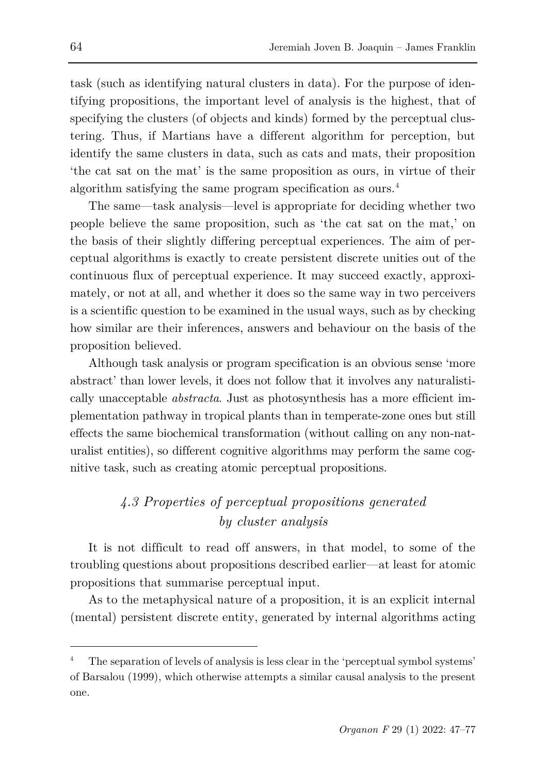task (such as identifying natural clusters in data). For the purpose of identifying propositions, the important level of analysis is the highest, that of specifying the clusters (of objects and kinds) formed by the perceptual clustering. Thus, if Martians have a different algorithm for perception, but identify the same clusters in data, such as cats and mats, their proposition 'the cat sat on the mat' is the same proposition as ours, in virtue of their algorithm satisfying the same program specification as ours.[4](#page-17-0)

The same—task analysis—level is appropriate for deciding whether two people believe the same proposition, such as 'the cat sat on the mat,' on the basis of their slightly differing perceptual experiences. The aim of perceptual algorithms is exactly to create persistent discrete unities out of the continuous flux of perceptual experience. It may succeed exactly, approximately, or not at all, and whether it does so the same way in two perceivers is a scientific question to be examined in the usual ways, such as by checking how similar are their inferences, answers and behaviour on the basis of the proposition believed.

Although task analysis or program specification is an obvious sense 'more abstract' than lower levels, it does not follow that it involves any naturalistically unacceptable *abstracta*. Just as photosynthesis has a more efficient implementation pathway in tropical plants than in temperate-zone ones but still effects the same biochemical transformation (without calling on any non-naturalist entities), so different cognitive algorithms may perform the same cognitive task, such as creating atomic perceptual propositions.

## *4.3 Properties of perceptual propositions generated by cluster analysis*

It is not difficult to read off answers, in that model, to some of the troubling questions about propositions described earlier—at least for atomic propositions that summarise perceptual input.

As to the metaphysical nature of a proposition, it is an explicit internal (mental) persistent discrete entity, generated by internal algorithms acting

<span id="page-17-0"></span><sup>4</sup> The separation of levels of analysis is less clear in the 'perceptual symbol systems' of Barsalou (1999), which otherwise attempts a similar causal analysis to the present one.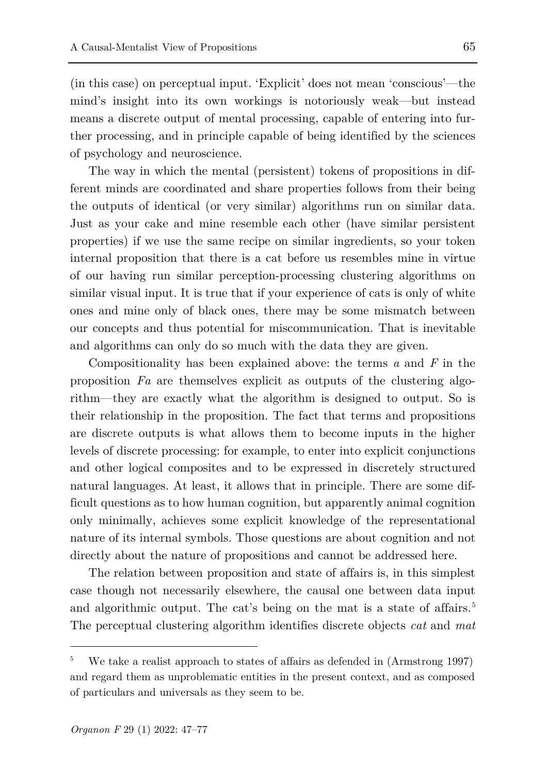(in this case) on perceptual input. 'Explicit' does not mean 'conscious'—the mind's insight into its own workings is notoriously weak—but instead means a discrete output of mental processing, capable of entering into further processing, and in principle capable of being identified by the sciences of psychology and neuroscience.

The way in which the mental (persistent) tokens of propositions in different minds are coordinated and share properties follows from their being the outputs of identical (or very similar) algorithms run on similar data. Just as your cake and mine resemble each other (have similar persistent properties) if we use the same recipe on similar ingredients, so your token internal proposition that there is a cat before us resembles mine in virtue of our having run similar perception-processing clustering algorithms on similar visual input. It is true that if your experience of cats is only of white ones and mine only of black ones, there may be some mismatch between our concepts and thus potential for miscommunication. That is inevitable and algorithms can only do so much with the data they are given.

Compositionality has been explained above: the terms *a* and *F* in the proposition *Fa* are themselves explicit as outputs of the clustering algorithm—they are exactly what the algorithm is designed to output. So is their relationship in the proposition. The fact that terms and propositions are discrete outputs is what allows them to become inputs in the higher levels of discrete processing: for example, to enter into explicit conjunctions and other logical composites and to be expressed in discretely structured natural languages. At least, it allows that in principle. There are some difficult questions as to how human cognition, but apparently animal cognition only minimally, achieves some explicit knowledge of the representational nature of its internal symbols. Those questions are about cognition and not directly about the nature of propositions and cannot be addressed here.

The relation between proposition and state of affairs is, in this simplest case though not necessarily elsewhere, the causal one between data input and algorithmic output. The cat's being on the mat is a state of affairs.<sup>[5](#page-18-0)</sup> The perceptual clustering algorithm identifies discrete objects *cat* and *mat*

<span id="page-18-0"></span><sup>5</sup> We take a realist approach to states of affairs as defended in (Armstrong 1997) and regard them as unproblematic entities in the present context, and as composed of particulars and universals as they seem to be.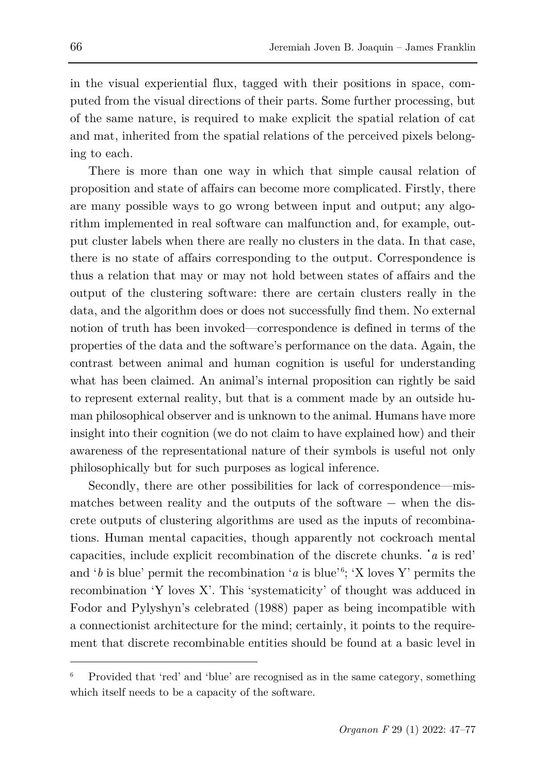in the visual experiential flux, tagged with their positions in space, computed from the visual directions of their parts. Some further processing, but of the same nature, is required to make explicit the spatial relation of cat and mat, inherited from the spatial relations of the perceived pixels belonging to each.

There is more than one way in which that simple causal relation of proposition and state of affairs can become more complicated. Firstly, there are many possible ways to go wrong between input and output; any algorithm implemented in real software can malfunction and, for example, output cluster labels when there are really no clusters in the data. In that case, there is no state of affairs corresponding to the output. Correspondence is thus a relation that may or may not hold between states of affairs and the output of the clustering software: there are certain clusters really in the data, and the algorithm does or does not successfully find them. No external notion of truth has been invoked—correspondence is defined in terms of the properties of the data and the software's performance on the data. Again, the contrast between animal and human cognition is useful for understanding what has been claimed. An animal's internal proposition can rightly be said to represent external reality, but that is a comment made by an outside human philosophical observer and is unknown to the animal. Humans have more insight into their cognition (we do not claim to have explained how) and their awareness of the representational nature of their symbols is useful not only philosophically but for such purposes as logical inference.

Secondly, there are other possibilities for lack of correspondence—mismatches between reality and the outputs of the software − when the discrete outputs of clustering algorithms are used as the inputs of recombinations. Human mental capacities, though apparently not cockroach mental capacities, include explicit recombination of the discrete chunks. '*a* is red' and '*b* is blue' permit the recombination '*a* is blue'<sup>[6](#page-19-0)</sup>; 'X loves Y' permits the recombination 'Y loves X'. This 'systematicity' of thought was adduced in Fodor and Pylyshyn's celebrated (1988) paper as being incompatible with a connectionist architecture for the mind; certainly, it points to the requirement that discrete recombinable entities should be found at a basic level in

<span id="page-19-0"></span><sup>6</sup> Provided that 'red' and 'blue' are recognised as in the same category, something which itself needs to be a capacity of the software.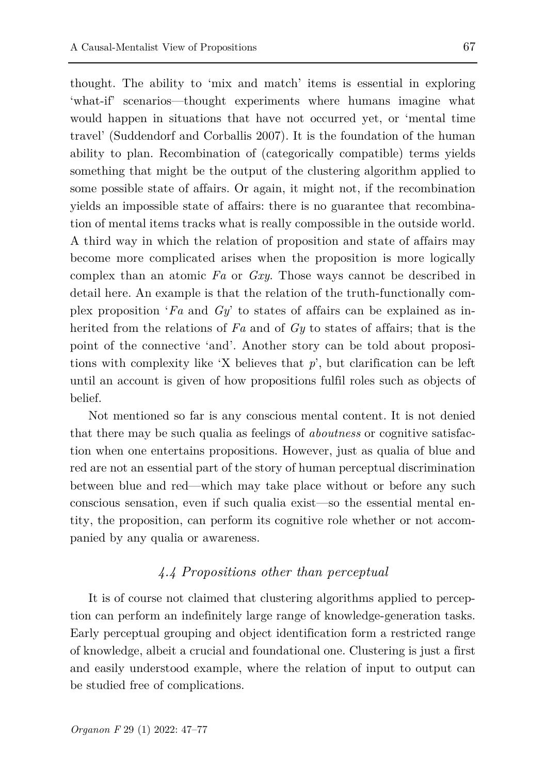thought. The ability to 'mix and match' items is essential in exploring 'what-if' scenarios—thought experiments where humans imagine what would happen in situations that have not occurred yet, or 'mental time travel' (Suddendorf and Corballis 2007). It is the foundation of the human ability to plan. Recombination of (categorically compatible) terms yields something that might be the output of the clustering algorithm applied to some possible state of affairs. Or again, it might not, if the recombination yields an impossible state of affairs: there is no guarantee that recombination of mental items tracks what is really compossible in the outside world. A third way in which the relation of proposition and state of affairs may become more complicated arises when the proposition is more logically complex than an atomic *Fa* or *Gxy*. Those ways cannot be described in detail here. An example is that the relation of the truth-functionally complex proposition '*Fa* and *Gy*' to states of affairs can be explained as inherited from the relations of *Fa* and of *Gy* to states of affairs; that is the point of the connective 'and'. Another story can be told about propositions with complexity like 'X believes that *p*', but clarification can be left until an account is given of how propositions fulfil roles such as objects of belief.

Not mentioned so far is any conscious mental content. It is not denied that there may be such qualia as feelings of *aboutness* or cognitive satisfaction when one entertains propositions. However, just as qualia of blue and red are not an essential part of the story of human perceptual discrimination between blue and red—which may take place without or before any such conscious sensation, even if such qualia exist—so the essential mental entity, the proposition, can perform its cognitive role whether or not accompanied by any qualia or awareness.

### *4.4 Propositions other than perceptual*

It is of course not claimed that clustering algorithms applied to perception can perform an indefinitely large range of knowledge-generation tasks. Early perceptual grouping and object identification form a restricted range of knowledge, albeit a crucial and foundational one. Clustering is just a first and easily understood example, where the relation of input to output can be studied free of complications.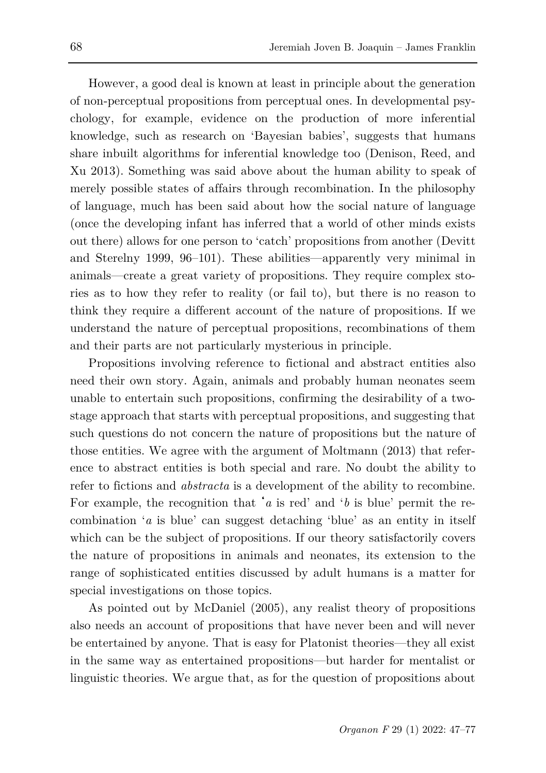However, a good deal is known at least in principle about the generation of non-perceptual propositions from perceptual ones. In developmental psychology, for example, evidence on the production of more inferential knowledge, such as research on 'Bayesian babies', suggests that humans share inbuilt algorithms for inferential knowledge too (Denison, Reed, and Xu 2013). Something was said above about the human ability to speak of merely possible states of affairs through recombination. In the philosophy of language, much has been said about how the social nature of language (once the developing infant has inferred that a world of other minds exists out there) allows for one person to 'catch' propositions from another (Devitt and Sterelny 1999, 96–101). These abilities—apparently very minimal in animals—create a great variety of propositions. They require complex stories as to how they refer to reality (or fail to), but there is no reason to think they require a different account of the nature of propositions. If we understand the nature of perceptual propositions, recombinations of them and their parts are not particularly mysterious in principle.

Propositions involving reference to fictional and abstract entities also need their own story. Again, animals and probably human neonates seem unable to entertain such propositions, confirming the desirability of a twostage approach that starts with perceptual propositions, and suggesting that such questions do not concern the nature of propositions but the nature of those entities. We agree with the argument of Moltmann (2013) that reference to abstract entities is both special and rare. No doubt the ability to refer to fictions and *abstracta* is a development of the ability to recombine. For example, the recognition that '*a* is red' and '*b* is blue' permit the recombination '*a* is blue' can suggest detaching 'blue' as an entity in itself which can be the subject of propositions. If our theory satisfactorily covers the nature of propositions in animals and neonates, its extension to the range of sophisticated entities discussed by adult humans is a matter for special investigations on those topics.

As pointed out by McDaniel (2005), any realist theory of propositions also needs an account of propositions that have never been and will never be entertained by anyone. That is easy for Platonist theories—they all exist in the same way as entertained propositions—but harder for mentalist or linguistic theories. We argue that, as for the question of propositions about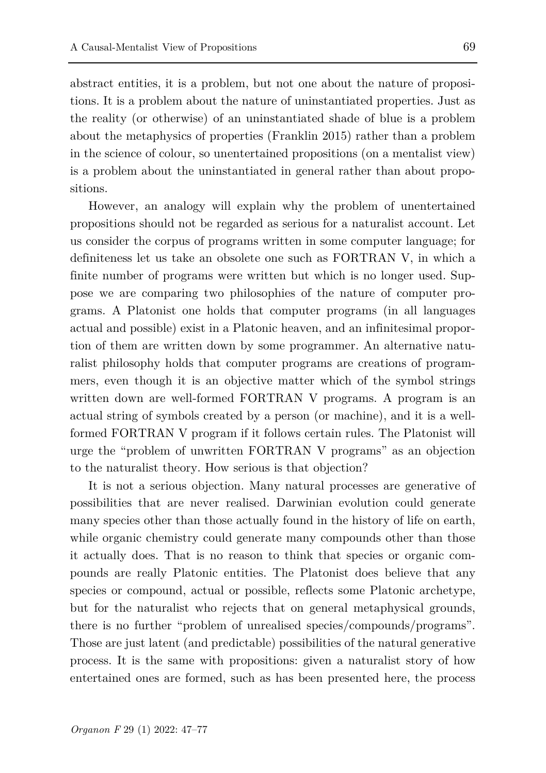abstract entities, it is a problem, but not one about the nature of propositions. It is a problem about the nature of uninstantiated properties. Just as the reality (or otherwise) of an uninstantiated shade of blue is a problem about the metaphysics of properties (Franklin 2015) rather than a problem in the science of colour, so unentertained propositions (on a mentalist view) is a problem about the uninstantiated in general rather than about propositions.

However, an analogy will explain why the problem of unentertained propositions should not be regarded as serious for a naturalist account. Let us consider the corpus of programs written in some computer language; for definiteness let us take an obsolete one such as FORTRAN V, in which a finite number of programs were written but which is no longer used. Suppose we are comparing two philosophies of the nature of computer programs. A Platonist one holds that computer programs (in all languages actual and possible) exist in a Platonic heaven, and an infinitesimal proportion of them are written down by some programmer. An alternative naturalist philosophy holds that computer programs are creations of programmers, even though it is an objective matter which of the symbol strings written down are well-formed FORTRAN V programs. A program is an actual string of symbols created by a person (or machine), and it is a wellformed FORTRAN V program if it follows certain rules. The Platonist will urge the "problem of unwritten FORTRAN V programs" as an objection to the naturalist theory. How serious is that objection?

It is not a serious objection. Many natural processes are generative of possibilities that are never realised. Darwinian evolution could generate many species other than those actually found in the history of life on earth, while organic chemistry could generate many compounds other than those it actually does. That is no reason to think that species or organic compounds are really Platonic entities. The Platonist does believe that any species or compound, actual or possible, reflects some Platonic archetype, but for the naturalist who rejects that on general metaphysical grounds, there is no further "problem of unrealised species/compounds/programs". Those are just latent (and predictable) possibilities of the natural generative process. It is the same with propositions: given a naturalist story of how entertained ones are formed, such as has been presented here, the process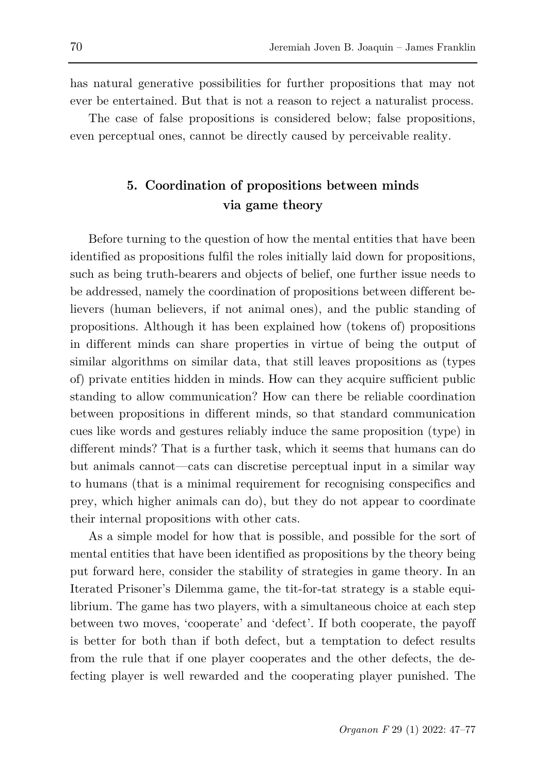has natural generative possibilities for further propositions that may not ever be entertained. But that is not a reason to reject a naturalist process.

The case of false propositions is considered below; false propositions, even perceptual ones, cannot be directly caused by perceivable reality.

## **5. Coordination of propositions between minds via game theory**

Before turning to the question of how the mental entities that have been identified as propositions fulfil the roles initially laid down for propositions, such as being truth-bearers and objects of belief, one further issue needs to be addressed, namely the coordination of propositions between different believers (human believers, if not animal ones), and the public standing of propositions. Although it has been explained how (tokens of) propositions in different minds can share properties in virtue of being the output of similar algorithms on similar data, that still leaves propositions as (types of) private entities hidden in minds. How can they acquire sufficient public standing to allow communication? How can there be reliable coordination between propositions in different minds, so that standard communication cues like words and gestures reliably induce the same proposition (type) in different minds? That is a further task, which it seems that humans can do but animals cannot—cats can discretise perceptual input in a similar way to humans (that is a minimal requirement for recognising conspecifics and prey, which higher animals can do), but they do not appear to coordinate their internal propositions with other cats.

As a simple model for how that is possible, and possible for the sort of mental entities that have been identified as propositions by the theory being put forward here, consider the stability of strategies in game theory. In an Iterated Prisoner's Dilemma game, the tit-for-tat strategy is a stable equilibrium. The game has two players, with a simultaneous choice at each step between two moves, 'cooperate' and 'defect'. If both cooperate, the payoff is better for both than if both defect, but a temptation to defect results from the rule that if one player cooperates and the other defects, the defecting player is well rewarded and the cooperating player punished. The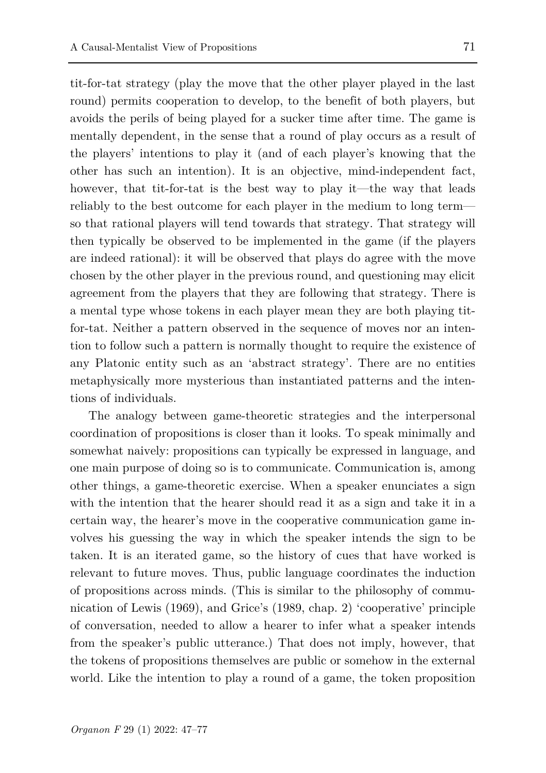tit-for-tat strategy (play the move that the other player played in the last round) permits cooperation to develop, to the benefit of both players, but avoids the perils of being played for a sucker time after time. The game is mentally dependent, in the sense that a round of play occurs as a result of the players' intentions to play it (and of each player's knowing that the other has such an intention). It is an objective, mind-independent fact, however, that tit-for-tat is the best way to play it—the way that leads reliably to the best outcome for each player in the medium to long term so that rational players will tend towards that strategy. That strategy will then typically be observed to be implemented in the game (if the players are indeed rational): it will be observed that plays do agree with the move chosen by the other player in the previous round, and questioning may elicit agreement from the players that they are following that strategy. There is a mental type whose tokens in each player mean they are both playing titfor-tat. Neither a pattern observed in the sequence of moves nor an intention to follow such a pattern is normally thought to require the existence of any Platonic entity such as an 'abstract strategy'. There are no entities metaphysically more mysterious than instantiated patterns and the intentions of individuals.

The analogy between game-theoretic strategies and the interpersonal coordination of propositions is closer than it looks. To speak minimally and somewhat naively: propositions can typically be expressed in language, and one main purpose of doing so is to communicate. Communication is, among other things, a game-theoretic exercise. When a speaker enunciates a sign with the intention that the hearer should read it as a sign and take it in a certain way, the hearer's move in the cooperative communication game involves his guessing the way in which the speaker intends the sign to be taken. It is an iterated game, so the history of cues that have worked is relevant to future moves. Thus, public language coordinates the induction of propositions across minds. (This is similar to the philosophy of communication of Lewis (1969), and Grice's (1989, chap. 2) 'cooperative' principle of conversation, needed to allow a hearer to infer what a speaker intends from the speaker's public utterance.) That does not imply, however, that the tokens of propositions themselves are public or somehow in the external world. Like the intention to play a round of a game, the token proposition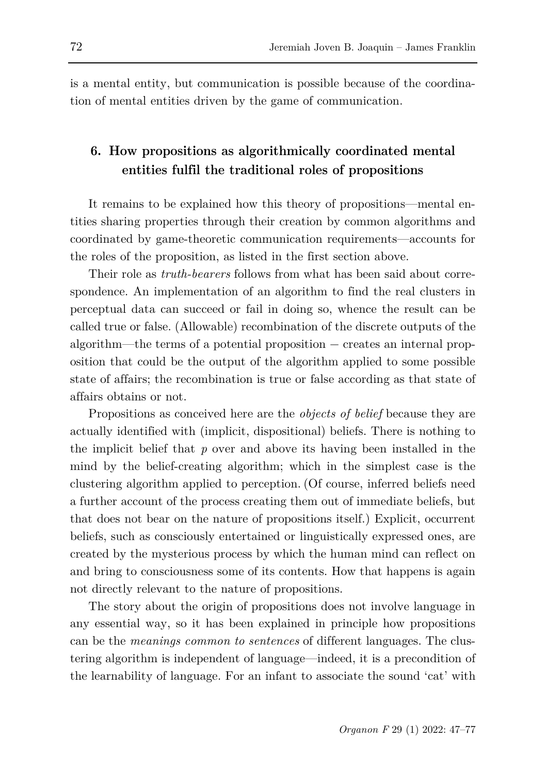is a mental entity, but communication is possible because of the coordination of mental entities driven by the game of communication.

## **6. How propositions as algorithmically coordinated mental entities fulfil the traditional roles of propositions**

It remains to be explained how this theory of propositions—mental entities sharing properties through their creation by common algorithms and coordinated by game-theoretic communication requirements—accounts for the roles of the proposition, as listed in the first section above.

Their role as *truth-bearers* follows from what has been said about correspondence. An implementation of an algorithm to find the real clusters in perceptual data can succeed or fail in doing so, whence the result can be called true or false. (Allowable) recombination of the discrete outputs of the algorithm—the terms of a potential proposition − creates an internal proposition that could be the output of the algorithm applied to some possible state of affairs; the recombination is true or false according as that state of affairs obtains or not.

Propositions as conceived here are the *objects of belief* because they are actually identified with (implicit, dispositional) beliefs. There is nothing to the implicit belief that *p* over and above its having been installed in the mind by the belief-creating algorithm; which in the simplest case is the clustering algorithm applied to perception. (Of course, inferred beliefs need a further account of the process creating them out of immediate beliefs, but that does not bear on the nature of propositions itself.) Explicit, occurrent beliefs, such as consciously entertained or linguistically expressed ones, are created by the mysterious process by which the human mind can reflect on and bring to consciousness some of its contents. How that happens is again not directly relevant to the nature of propositions.

The story about the origin of propositions does not involve language in any essential way, so it has been explained in principle how propositions can be the *meanings common to sentences* of different languages. The clustering algorithm is independent of language—indeed, it is a precondition of the learnability of language. For an infant to associate the sound 'cat' with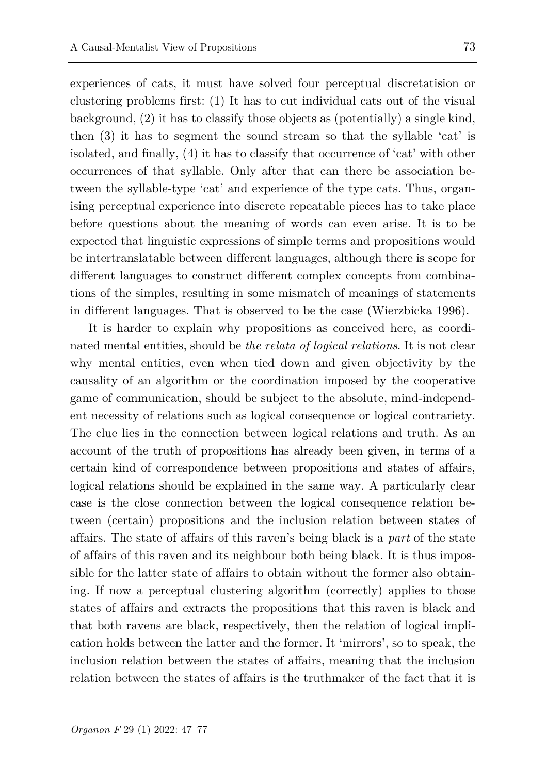experiences of cats, it must have solved four perceptual discretatision or clustering problems first: (1) It has to cut individual cats out of the visual background, (2) it has to classify those objects as (potentially) a single kind, then (3) it has to segment the sound stream so that the syllable 'cat' is isolated, and finally, (4) it has to classify that occurrence of 'cat' with other occurrences of that syllable. Only after that can there be association between the syllable-type 'cat' and experience of the type cats. Thus, organising perceptual experience into discrete repeatable pieces has to take place before questions about the meaning of words can even arise. It is to be expected that linguistic expressions of simple terms and propositions would be intertranslatable between different languages, although there is scope for different languages to construct different complex concepts from combinations of the simples, resulting in some mismatch of meanings of statements in different languages. That is observed to be the case (Wierzbicka 1996).

It is harder to explain why propositions as conceived here, as coordinated mental entities, should be *the relata of logical relations*. It is not clear why mental entities, even when tied down and given objectivity by the causality of an algorithm or the coordination imposed by the cooperative game of communication, should be subject to the absolute, mind-independent necessity of relations such as logical consequence or logical contrariety. The clue lies in the connection between logical relations and truth. As an account of the truth of propositions has already been given, in terms of a certain kind of correspondence between propositions and states of affairs, logical relations should be explained in the same way. A particularly clear case is the close connection between the logical consequence relation between (certain) propositions and the inclusion relation between states of affairs. The state of affairs of this raven's being black is a *part* of the state of affairs of this raven and its neighbour both being black. It is thus impossible for the latter state of affairs to obtain without the former also obtaining. If now a perceptual clustering algorithm (correctly) applies to those states of affairs and extracts the propositions that this raven is black and that both ravens are black, respectively, then the relation of logical implication holds between the latter and the former. It 'mirrors', so to speak, the inclusion relation between the states of affairs, meaning that the inclusion relation between the states of affairs is the truthmaker of the fact that it is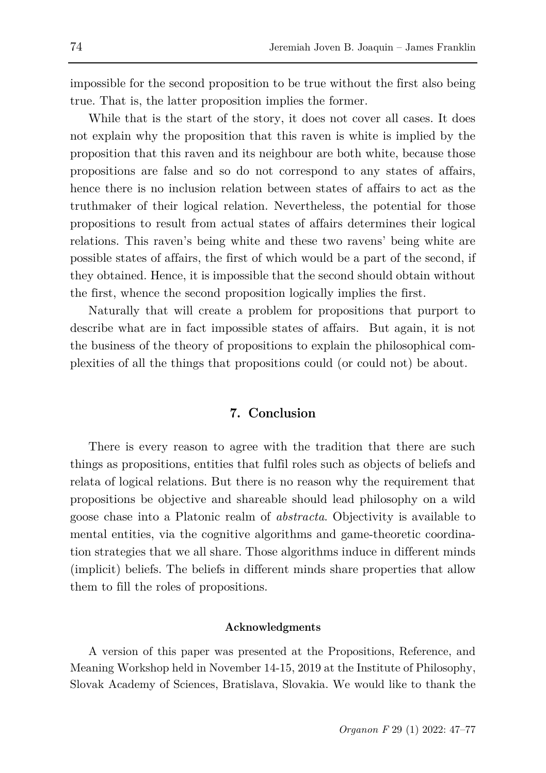impossible for the second proposition to be true without the first also being true. That is, the latter proposition implies the former.

While that is the start of the story, it does not cover all cases. It does not explain why the proposition that this raven is white is implied by the proposition that this raven and its neighbour are both white, because those propositions are false and so do not correspond to any states of affairs, hence there is no inclusion relation between states of affairs to act as the truthmaker of their logical relation. Nevertheless, the potential for those propositions to result from actual states of affairs determines their logical relations. This raven's being white and these two ravens' being white are possible states of affairs, the first of which would be a part of the second, if they obtained. Hence, it is impossible that the second should obtain without the first, whence the second proposition logically implies the first.

Naturally that will create a problem for propositions that purport to describe what are in fact impossible states of affairs. But again, it is not the business of the theory of propositions to explain the philosophical complexities of all the things that propositions could (or could not) be about.

### **7. Conclusion**

There is every reason to agree with the tradition that there are such things as propositions, entities that fulfil roles such as objects of beliefs and relata of logical relations. But there is no reason why the requirement that propositions be objective and shareable should lead philosophy on a wild goose chase into a Platonic realm of *abstracta*. Objectivity is available to mental entities, via the cognitive algorithms and game-theoretic coordination strategies that we all share. Those algorithms induce in different minds (implicit) beliefs. The beliefs in different minds share properties that allow them to fill the roles of propositions.

#### **Acknowledgments**

A version of this paper was presented at the Propositions, Reference, and Meaning Workshop held in November 14-15, 2019 at the Institute of Philosophy, Slovak Academy of Sciences, Bratislava, Slovakia. We would like to thank the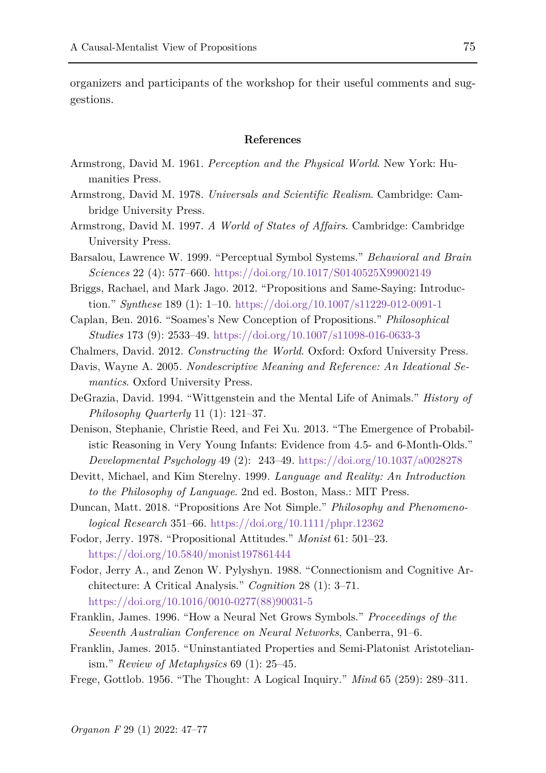organizers and participants of the workshop for their useful comments and suggestions.

#### **References**

- Armstrong, David M. 1961. *[Perception and the Physical World](https://www.zotero.org/google-docs/?WiwC9A)*[. New York: Hu](https://www.zotero.org/google-docs/?WiwC9A)[manities Press.](https://www.zotero.org/google-docs/?WiwC9A)
- [Armstrong, David M. 1978.](https://www.zotero.org/google-docs/?WiwC9A) *Universals and Scientific Realism*[. Cambridge: Cam](https://www.zotero.org/google-docs/?WiwC9A)[bridge University Press.](https://www.zotero.org/google-docs/?WiwC9A)
- [Armstrong, David M. 1997.](https://www.zotero.org/google-docs/?WiwC9A) *A World of States of Affairs*[. Cambridge: Cambridge](https://www.zotero.org/google-docs/?WiwC9A)  [University Press.](https://www.zotero.org/google-docs/?WiwC9A)
- Barsalou, Lawrence W. 1999. "Perceptual Symbol Systems." *[Behavioral and Brain](https://www.zotero.org/google-docs/?WiwC9A)  [Sciences](https://www.zotero.org/google-docs/?WiwC9A)* 22 (4): 577–660.<https://doi.org/10.1017/S0140525X99002149>
- Briggs, Rachael, and Mark Jago. 2012. "Propositions and Same-Saying: Introduction." *Synthese* 189 (1): 1–10.<https://doi.org/10.1007/s11229-012-0091-1>
- Caplan, Ben. 2016. "Soames's New Conception of Propositions." *[Philosophical](https://www.zotero.org/google-docs/?WiwC9A)  [Studies](https://www.zotero.org/google-docs/?WiwC9A)* [173 \(9\): 2533–49.](https://www.zotero.org/google-docs/?WiwC9A) <https://doi.org/10.1007/s11098-016-0633-3>
- [Chalmers, David. 2012.](https://www.zotero.org/google-docs/?WiwC9A) *Constructing the World*[. Oxford: Oxford University Press.](https://www.zotero.org/google-docs/?WiwC9A)
- Davis, Wayne A. 2005*. [Nondescriptive Meaning and Reference: An Ideational Se](https://www.zotero.org/google-docs/?WiwC9A)[mantics](https://www.zotero.org/google-docs/?WiwC9A)*[. Oxford University Press.](https://www.zotero.org/google-docs/?WiwC9A)
- DeGrazia, David. 1994. "Wittgenstein and the Mental Life of Animals." *History of Philosophy Quarterly* 11 (1): 121–37.
- Denison, Stephanie, Christie Reed, and Fei Xu. 2013. "The Emergence of Probabilistic Reasoning in Very Young Infants: Evidence from 4.5- and 6-Month-Olds." *[Developmental Psychology](https://www.zotero.org/google-docs/?WiwC9A)* [49 \(2\):](https://www.zotero.org/google-docs/?WiwC9A) 243–49.<https://doi.org/10.1037/a0028278>
- Devitt, Michael, and Kim Sterelny. 1999*. [Language and Reality: An Introduction](https://www.zotero.org/google-docs/?WiwC9A)  [to the Philosophy of Language](https://www.zotero.org/google-docs/?WiwC9A)*[. 2nd ed. Boston, Mass.: MIT Press.](https://www.zotero.org/google-docs/?WiwC9A)
- Duncan, Matt. 2018. "Propositions Are Not Simple." *[Philosophy and Phenomeno](https://www.zotero.org/google-docs/?WiwC9A)[logical Research](https://www.zotero.org/google-docs/?WiwC9A)* 351–66.<https://doi.org/10.1111/phpr.12362>
- Fodor, Jerry. 1978. "Propositional Attitudes." *Monist* 61: 501–23. <https://doi.org/10.5840/monist197861444>
- Fodor, Jerry A., and Zenon W. Pylyshyn. 1988. "Connectionism and Cognitive Architecture: A Critical Analysis." *[Cognition](https://www.zotero.org/google-docs/?WiwC9A)* 28 (1): 3–71. [https://doi.org/10.1016/0010-0277\(88\)90031-5](https://doi.org/10.1016/0010-0277(88)90031-5)
- Franklin, James. 1996. "How a Neural Net Grows Symbols." *Proceedings of the Seventh Australian Conference on Neural Networks*, Canberra, 91–6.
- Franklin, James. 2015. "Uninstantiated Properties and Semi-Platonist Aristotelianism." *Review of Metaphysics* 69 (1): 25–45.
- Frege, Gottlob. 1956. "The Thought: A Logical Inquiry." *[Mind](https://www.zotero.org/google-docs/?WiwC9A)* [65 \(259\): 289–311.](https://www.zotero.org/google-docs/?WiwC9A)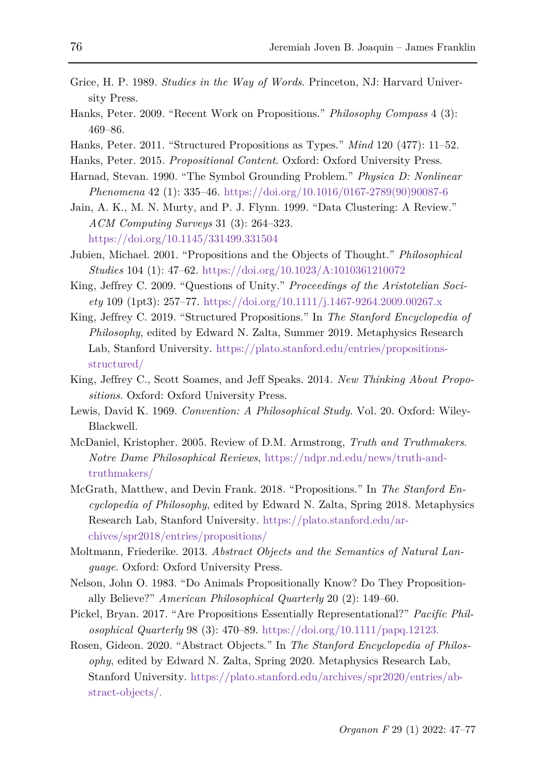- [Grice, H. P. 1989.](https://www.zotero.org/google-docs/?WiwC9A) *Studies in the Way of Words*[. Princeton, NJ: Harvard Univer](https://www.zotero.org/google-docs/?WiwC9A)[sity Press.](https://www.zotero.org/google-docs/?WiwC9A)
- Hanks, Peter. 2009. "Recent Work on Propositions." *[Philosophy Compass](https://www.zotero.org/google-docs/?WiwC9A)* [4 \(3\):](https://www.zotero.org/google-docs/?WiwC9A)  [469–86.](https://www.zotero.org/google-docs/?WiwC9A)
- Hanks, Peter. 2011. "Structured Propositions as Types." *Mind* 120 (477): 11–52.
- [Hanks, Peter. 2015.](https://www.zotero.org/google-docs/?WiwC9A) *Propositional Content*[. Oxford: Oxford University Press.](https://www.zotero.org/google-docs/?WiwC9A)
- Harnad, Stevan. 1990. "The Symbol Grounding Problem." *[Physica D: Nonlinear](https://www.zotero.org/google-docs/?WiwC9A)  [Phenomena](https://www.zotero.org/google-docs/?WiwC9A)* 42 (1): 335–46. [https://doi.org/10.1016/0167-2789\(90\)90087-6](https://doi.org/10.1016/0167-2789(90)90087-6)
- Jain, A. K., M. N. Murty, and P. J. Flynn. 1999. "Data Clustering: A Review." *[ACM Computing Surveys](https://www.zotero.org/google-docs/?WiwC9A)* 31 (3): 264–323. <https://doi.org/10.1145/331499.331504>
- [Jubien, Michael. 2001. "Propositions and the Objects of Thought."](https://www.zotero.org/google-docs/?WiwC9A) *[Philosophical](https://www.zotero.org/google-docs/?WiwC9A)  [Studies](https://www.zotero.org/google-docs/?WiwC9A)* [104 \(1\): 47–62.](https://www.zotero.org/google-docs/?WiwC9A) <https://doi.org/10.1023/A:1010361210072>
- King, Jeffrey C. 2009. "Questions of Unity." *Proceedings of the Aristotelian Society* 109 (1pt3): 257–77.<https://doi.org/10.1111/j.1467-9264.2009.00267.x>
- King, Jeffrey C. 2019. "Structured Propositions." In *[The Stanford Encyclopedia of](https://www.zotero.org/google-docs/?WiwC9A)  [Philosophy](https://www.zotero.org/google-docs/?WiwC9A)*[, edited by Edward N. Zalta, Summer 2019. Metaphysics Research](https://www.zotero.org/google-docs/?WiwC9A)  [Lab, Stanford University.](https://www.zotero.org/google-docs/?WiwC9A) [https://plato.stanford.edu/entries/propositions](https://plato.stanford.edu/entries/propositions-structured/)[structured/](https://plato.stanford.edu/entries/propositions-structured/)
- King, Jeffrey C., Scott Soames, and Jeff Speaks. 2014*. [New Thinking About Propo](https://www.zotero.org/google-docs/?WiwC9A)[sitions](https://www.zotero.org/google-docs/?WiwC9A)*[. Oxford: Oxford University Press.](https://www.zotero.org/google-docs/?WiwC9A)
- Lewis, David K. 1969. *[Convention: A Philosophical Study](https://www.zotero.org/google-docs/?WiwC9A)*[. Vol. 20. Oxford: Wiley-](https://www.zotero.org/google-docs/?WiwC9A)[Blackwell.](https://www.zotero.org/google-docs/?WiwC9A)
- McDaniel, Kristopher. 2005. Review of D.M. Armstrong, *Truth and Truthmakers*. *Notre Dame Philosophical Reviews*, [https://ndpr.nd.edu/news/truth-and](https://ndpr.nd.edu/news/truth-and-truthmakers/)[truthmakers/](https://ndpr.nd.edu/news/truth-and-truthmakers/)
- McGrath, Matthew, and Devin Frank. 2018. "Propositions." In *[The Stanford En](https://www.zotero.org/google-docs/?WiwC9A)[cyclopedia of Philosophy](https://www.zotero.org/google-docs/?WiwC9A)*, edited by Edward N. Zalta, Spring 2018. Metaphysics Research Lab, Stanford University. [https://plato.stanford.edu/ar](https://plato.stanford.edu/archives/spr2018/entries/propositions/)[chives/spr2018/entries/propositions/](https://plato.stanford.edu/archives/spr2018/entries/propositions/)
- Moltmann, Friederike. 2013. *Abstract Objects and the Semantics of Natural Language*. Oxford: Oxford University Press.
- Nelson, John O. 1983. "Do Animals Propositionally Know? Do They Propositionally Believe?" *American Philosophical Quarterly* 20 (2): 149–60.
- Pickel, Bryan. 2017. "Are Propositions Essentially Representational?" *[Pacific Phil](https://www.zotero.org/google-docs/?WiwC9A)[osophical Quarterly](https://www.zotero.org/google-docs/?WiwC9A)* [98 \(3\): 470–89.](https://www.zotero.org/google-docs/?WiwC9A) [https://doi.org/10.1111/papq.12123.](https://doi.org/10.1111/papq.12123)
- Rosen, Gideon. 2020. "Abstract Objects." In *[The Stanford Encyclopedia of Philos](https://www.zotero.org/google-docs/?WiwC9A)[ophy](https://www.zotero.org/google-docs/?WiwC9A)*, edited by Edward N. Zalta, Spring 2020. Metaphysics Research Lab, Stanford University. [https://plato.stanford.edu/archives/spr2020/entries/ab](https://plato.stanford.edu/archives/spr2020/entries/abstract-objects/)[stract-objects/.](https://plato.stanford.edu/archives/spr2020/entries/abstract-objects/)